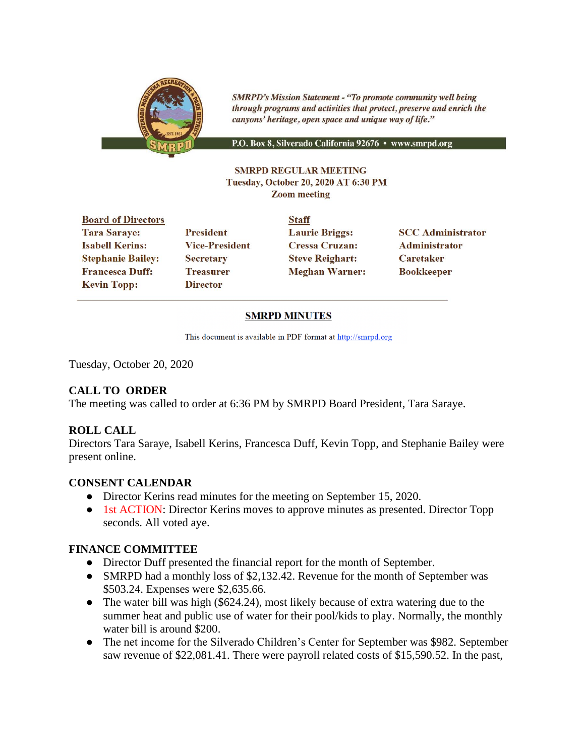

**SMRPD's Mission Statement - "To promote community well being** through programs and activities that protect, preserve and enrich the canyons' heritage, open space and unique way of life."

P.O. Box 8, Silverado California 92676 · www.smrpd.org

#### **SMRPD REGULAR MEETING** Tuesday, October 20, 2020 AT 6:30 PM **Zoom meeting**

| <b>Board of Directors</b> |                       | <b>Staff</b>           |                          |
|---------------------------|-----------------------|------------------------|--------------------------|
| <b>Tara Saraye:</b>       | <b>President</b>      | <b>Laurie Briggs:</b>  | <b>SCC Administrator</b> |
| <b>Isabell Kerins:</b>    | <b>Vice-President</b> | <b>Cressa Cruzan:</b>  | Administrator            |
| <b>Stephanie Bailey:</b>  | <b>Secretary</b>      | <b>Steve Reighart:</b> | <b>Caretaker</b>         |
| <b>Francesca Duff:</b>    | <b>Treasurer</b>      | <b>Meghan Warner:</b>  | <b>Bookkeeper</b>        |
| <b>Kevin Topp:</b>        | <b>Director</b>       |                        |                          |
|                           |                       |                        |                          |

#### **SMRPD MINUTES**

This document is available in PDF format at http://smrpd.org

Tuesday, October 20, 2020

## **CALL TO ORDER**

The meeting was called to order at 6:36 PM by SMRPD Board President, Tara Saraye.

#### **ROLL CALL**

Directors Tara Saraye, Isabell Kerins, Francesca Duff, Kevin Topp, and Stephanie Bailey were present online.

#### **CONSENT CALENDAR**

- Director Kerins read minutes for the meeting on September 15, 2020.
- 1st ACTION: Director Kerins moves to approve minutes as presented. Director Topp seconds. All voted aye.

#### **FINANCE COMMITTEE**

- Director Duff presented the financial report for the month of September.
- SMRPD had a monthly loss of \$2,132.42. Revenue for the month of September was \$503.24. Expenses were \$2,635.66.
- The water bill was high (\$624.24), most likely because of extra watering due to the summer heat and public use of water for their pool/kids to play. Normally, the monthly water bill is around \$200.
- The net income for the Silverado Children's Center for September was \$982. September saw revenue of \$22,081.41. There were payroll related costs of \$15,590.52. In the past,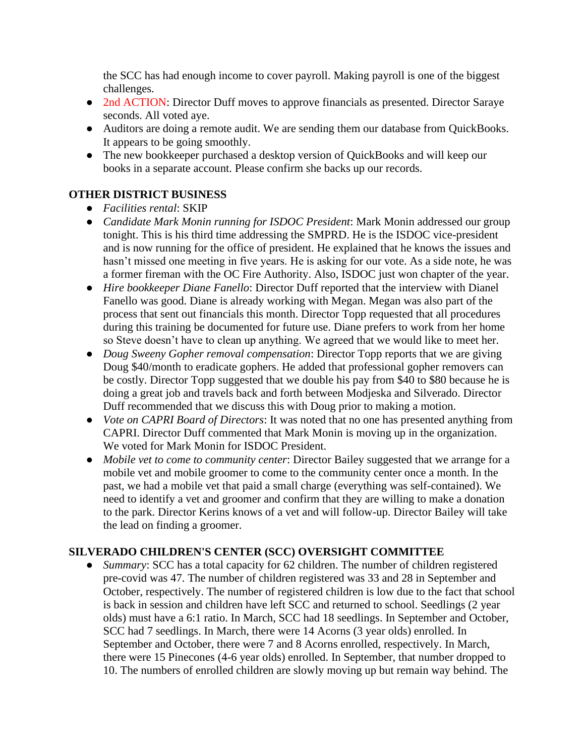the SCC has had enough income to cover payroll. Making payroll is one of the biggest challenges.

- 2nd ACTION: Director Duff moves to approve financials as presented. Director Saraye seconds. All voted aye.
- Auditors are doing a remote audit. We are sending them our database from QuickBooks. It appears to be going smoothly.
- The new bookkeeper purchased a desktop version of QuickBooks and will keep our books in a separate account. Please confirm she backs up our records.

## **OTHER DISTRICT BUSINESS**

- *Facilities rental*: SKIP
- *Candidate Mark Monin running for ISDOC President*: Mark Monin addressed our group tonight. This is his third time addressing the SMPRD. He is the ISDOC vice-president and is now running for the office of president. He explained that he knows the issues and hasn't missed one meeting in five years. He is asking for our vote. As a side note, he was a former fireman with the OC Fire Authority. Also, ISDOC just won chapter of the year.
- *Hire bookkeeper Diane Fanello*: Director Duff reported that the interview with Dianel Fanello was good. Diane is already working with Megan. Megan was also part of the process that sent out financials this month. Director Topp requested that all procedures during this training be documented for future use. Diane prefers to work from her home so Steve doesn't have to clean up anything. We agreed that we would like to meet her.
- *Doug Sweeny Gopher removal compensation*: Director Topp reports that we are giving Doug \$40/month to eradicate gophers. He added that professional gopher removers can be costly. Director Topp suggested that we double his pay from \$40 to \$80 because he is doing a great job and travels back and forth between Modjeska and Silverado. Director Duff recommended that we discuss this with Doug prior to making a motion.
- *Vote on CAPRI Board of Directors*: It was noted that no one has presented anything from CAPRI. Director Duff commented that Mark Monin is moving up in the organization. We voted for Mark Monin for ISDOC President.
- *Mobile vet to come to community center*: Director Bailey suggested that we arrange for a mobile vet and mobile groomer to come to the community center once a month. In the past, we had a mobile vet that paid a small charge (everything was self-contained). We need to identify a vet and groomer and confirm that they are willing to make a donation to the park. Director Kerins knows of a vet and will follow-up. Director Bailey will take the lead on finding a groomer.

## **SILVERADO CHILDREN'S CENTER (SCC) OVERSIGHT COMMITTEE**

*Summary*: SCC has a total capacity for 62 children. The number of children registered pre-covid was 47. The number of children registered was 33 and 28 in September and October, respectively. The number of registered children is low due to the fact that school is back in session and children have left SCC and returned to school. Seedlings (2 year olds) must have a 6:1 ratio. In March, SCC had 18 seedlings. In September and October, SCC had 7 seedlings. In March, there were 14 Acorns (3 year olds) enrolled. In September and October, there were 7 and 8 Acorns enrolled, respectively. In March, there were 15 Pinecones (4-6 year olds) enrolled. In September, that number dropped to 10. The numbers of enrolled children are slowly moving up but remain way behind. The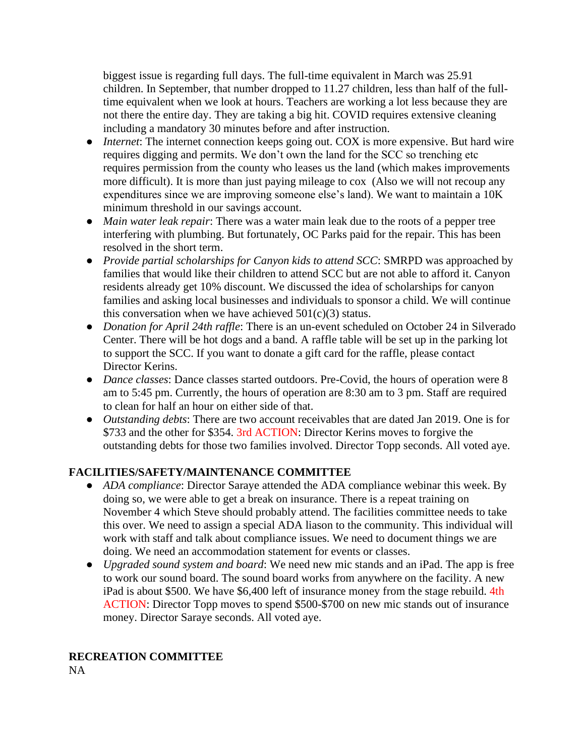biggest issue is regarding full days. The full-time equivalent in March was 25.91 children. In September, that number dropped to 11.27 children, less than half of the fulltime equivalent when we look at hours. Teachers are working a lot less because they are not there the entire day. They are taking a big hit. COVID requires extensive cleaning including a mandatory 30 minutes before and after instruction.

- *Internet*: The internet connection keeps going out. COX is more expensive. But hard wire requires digging and permits. We don't own the land for the SCC so trenching etc requires permission from the county who leases us the land (which makes improvements more difficult). It is more than just paying mileage to cox (Also we will not recoup any expenditures since we are improving someone else's land). We want to maintain a 10K minimum threshold in our savings account.
- *Main water leak repair*: There was a water main leak due to the roots of a pepper tree interfering with plumbing. But fortunately, OC Parks paid for the repair. This has been resolved in the short term.
- *Provide partial scholarships for Canyon kids to attend SCC*: SMRPD was approached by families that would like their children to attend SCC but are not able to afford it. Canyon residents already get 10% discount. We discussed the idea of scholarships for canyon families and asking local businesses and individuals to sponsor a child. We will continue this conversation when we have achieved  $501(c)(3)$  status.
- *Donation for April 24th raffle*: There is an un-event scheduled on October 24 in Silverado Center. There will be hot dogs and a band. A raffle table will be set up in the parking lot to support the SCC. If you want to donate a gift card for the raffle, please contact Director Kerins.
- *Dance classes*: Dance classes started outdoors. Pre-Covid, the hours of operation were 8 am to 5:45 pm. Currently, the hours of operation are 8:30 am to 3 pm. Staff are required to clean for half an hour on either side of that.
- *Outstanding debts*: There are two account receivables that are dated Jan 2019. One is for \$733 and the other for \$354. 3rd ACTION: Director Kerins moves to forgive the outstanding debts for those two families involved. Director Topp seconds. All voted aye.

## **FACILITIES/SAFETY/MAINTENANCE COMMITTEE**

- *ADA compliance*: Director Saraye attended the ADA compliance webinar this week. By doing so, we were able to get a break on insurance. There is a repeat training on November 4 which Steve should probably attend. The facilities committee needs to take this over. We need to assign a special ADA liason to the community. This individual will work with staff and talk about compliance issues. We need to document things we are doing. We need an accommodation statement for events or classes.
- *Upgraded sound system and board*: We need new mic stands and an iPad. The app is free to work our sound board. The sound board works from anywhere on the facility. A new iPad is about \$500. We have \$6,400 left of insurance money from the stage rebuild. 4th ACTION: Director Topp moves to spend \$500-\$700 on new mic stands out of insurance money. Director Saraye seconds. All voted aye.

# **RECREATION COMMITTEE**

NA